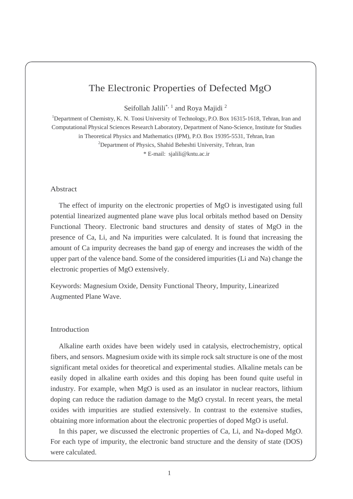# The Electronic Properties of Defected MgO

Seifollah Jalili\*, <sup>1</sup> and Roya Majidi<sup>2</sup>

<sup>1</sup>Department of Chemistry, K. N. Toosi University of Technology, P.O. Box 16315-1618, Tehran, Iran and Computational Physical Sciences Research Laboratory, Department of Nano-Science, Institute for Studies in Theoretical Physics and Mathematics (IPM), P.O. Box 19395-5531, Tehran, Iran <sup>2</sup>Department of Physics, Shahid Beheshti University, Tehran, Iran \* E-mail: [sjalili@kntu.ac.ir](mailto:sjalili@kntu.ac.ir)

#### Abstract

The effect of impurity on the electronic properties of MgO is investigated using full potential linearized augmented plane wave plus local orbitals method based on Density Functional Theory. Electronic band structures and density of states of MgO in the presence of Ca, Li, and Na impurities were calculated. It is found that increasing the amount of Ca impurity decreases the band gap of energy and increases the width of the upper part of the valence band. Some of the considered impurities (Li and Na) change the electronic properties of MgO extensively.

Keywords: Magnesium Oxide, Density Functional Theory, Impurity, Linearized Augmented Plane Wave.

## Introduction

Alkaline earth oxides have been widely used in catalysis, electrochemistry, optical fibers, and sensors. Magnesium oxide with its simple rock salt structure is one of the most significant metal oxides for theoretical and experimental studies. Alkaline metals can be easily doped in alkaline earth oxides and this doping has been found quite useful in industry. For example, when MgO is used as an insulator in nuclear reactors, lithium doping can reduce the radiation damage to the MgO crystal. In recent years, the metal oxides with impurities are studied extensively. In contrast to the extensive studies, obtaining more information about the electronic properties of doped MgO is useful.

In this paper, we discussed the electronic properties of Ca, Li, and Na-doped MgO. For each type of impurity, the electronic band structure and the density of state (DOS) were calculated.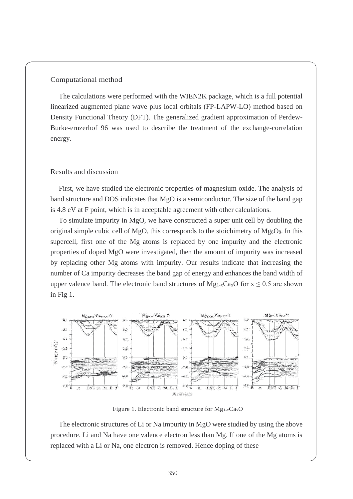### Computational method

The calculations were performed with the WIEN2K package, which is a full potential linearized augmented plane wave plus local orbitals (FP-LAPW-LO) method based on Density Functional Theory (DFT). The generalized gradient approximation of Perdew-Burke-ernzerhof 96 was used to describe the treatment of the exchange-correlation energy.

## Results and discussion

First, we have studied the electronic properties of magnesium oxide. The analysis of band structure and DOS indicates that MgO is a semiconductor. The size of the band gap is 4.8 eV at F point, which is in acceptable agreement with other calculations.

To simulate impurity in MgO, we have constructed a super unit cell by doubling the original simple cubic cell of MgO, this corresponds to the stoichimetry of Mg $_8$ O $_8$ . In this supercell, first one of the Mg atoms is replaced by one impurity and the electronic properties of doped MgO were investigated, then the amount of impurity was increased by replacing other Mg atoms with impurity. Our results indicate that increasing the number of Ca impurity decreases the band gap of energy and enhances the band width of upper valence band. The electronic band structures of  $Mg_{1-x}Ca_xO$  for  $x \le 0.5$  are shown in Fig 1.



Figure 1. Electronic band structure for  $Mg_{1-x}Ca_xO$ 

The electronic structures of Li or Na impurity in MgO were studied by using the above procedure. Li and Na have one valence electron less than Mg. If one of the Mg atoms is replaced with a Li or Na, one electron is removed. Hence doping of these